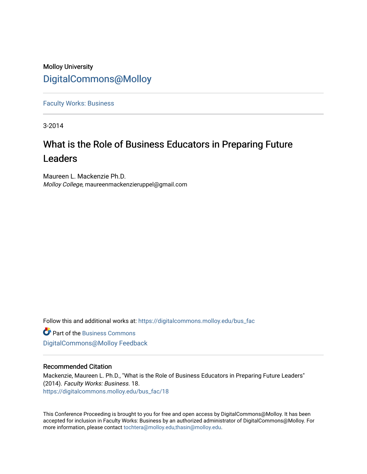## Molloy University [DigitalCommons@Molloy](https://digitalcommons.molloy.edu/)

[Faculty Works: Business](https://digitalcommons.molloy.edu/bus_fac) 

3-2014

# What is the Role of Business Educators in Preparing Future Leaders

Maureen L. Mackenzie Ph.D. Molloy College, maureenmackenzieruppel@gmail.com

Follow this and additional works at: [https://digitalcommons.molloy.edu/bus\\_fac](https://digitalcommons.molloy.edu/bus_fac?utm_source=digitalcommons.molloy.edu%2Fbus_fac%2F18&utm_medium=PDF&utm_campaign=PDFCoverPages)

**C** Part of the [Business Commons](https://network.bepress.com/hgg/discipline/622?utm_source=digitalcommons.molloy.edu%2Fbus_fac%2F18&utm_medium=PDF&utm_campaign=PDFCoverPages) [DigitalCommons@Molloy Feedback](https://molloy.libwizard.com/f/dcfeedback)

#### Recommended Citation

Mackenzie, Maureen L. Ph.D., "What is the Role of Business Educators in Preparing Future Leaders" (2014). Faculty Works: Business. 18. [https://digitalcommons.molloy.edu/bus\\_fac/18](https://digitalcommons.molloy.edu/bus_fac/18?utm_source=digitalcommons.molloy.edu%2Fbus_fac%2F18&utm_medium=PDF&utm_campaign=PDFCoverPages) 

This Conference Proceeding is brought to you for free and open access by DigitalCommons@Molloy. It has been accepted for inclusion in Faculty Works: Business by an authorized administrator of DigitalCommons@Molloy. For more information, please contact [tochtera@molloy.edu,thasin@molloy.edu.](mailto:tochtera@molloy.edu,thasin@molloy.edu)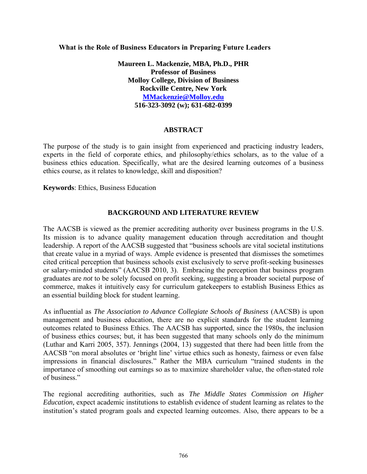**What is the Role of Business Educators in Preparing Future Leaders**

**Maureen L. Mackenzie, MBA, Ph.D., PHR Professor of Business Molloy College, Division of Business Rockville Centre, New York MMackenzie@Molloy.edu 516-323-3092 (w); 631-682-0399**

#### **ABSTRACT**

The purpose of the study is to gain insight from experienced and practicing industry leaders, experts in the field of corporate ethics, and philosophy/ethics scholars, as to the value of a business ethics education. Specifically, what are the desired learning outcomes of a business ethics course, as it relates to knowledge, skill and disposition?

**Keywords**: Ethics, Business Education

#### **BACKGROUND AND LITERATURE REVIEW**

The AACSB is viewed as the premier accrediting authority over business programs in the U.S. Its mission is to advance quality management education through accreditation and thought leadership. A report of the AACSB suggested that "business schools are vital societal institutions that create value in a myriad of ways. Ample evidence is presented that dismisses the sometimes cited critical perception that business schools exist exclusively to serve profit-seeking businesses or salary-minded students" (AACSB 2010, 3). Embracing the perception that business program graduates are *not* to be solely focused on profit seeking, suggesting a broader societal purpose of commerce, makes it intuitively easy for curriculum gatekeepers to establish Business Ethics as an essential building block for student learning.

As influential as *The Association to Advance Collegiate Schools of Business* (AACSB) is upon management and business education, there are no explicit standards for the student learning outcomes related to Business Ethics. The AACSB has supported, since the 1980s, the inclusion of business ethics courses; but, it has been suggested that many schools only do the minimum (Luthar and Karri 2005, 357). Jennings (2004, 13) suggested that there had been little from the AACSB "on moral absolutes or 'bright line' virtue ethics such as honesty, fairness or even false impressions in financial disclosures." Rather the MBA curriculum "trained students in the importance of smoothing out earnings so as to maximize shareholder value, the often-stated role of business."

The regional accrediting authorities, such as *The Middle States Commission on Higher Education,* expect academic institutions to establish evidence of student learning as relates to the institution's stated program goals and expected learning outcomes. Also, there appears to be a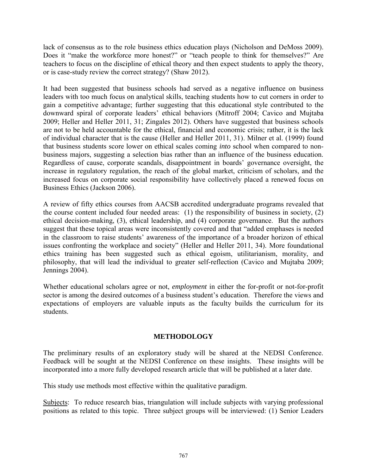lack of consensus as to the role business ethics education plays (Nicholson and DeMoss 2009). Does it "make the workforce more honest?" or "teach people to think for themselves?" Are teachers to focus on the discipline of ethical theory and then expect students to apply the theory, or is case-study review the correct strategy? (Shaw 2012).

It had been suggested that business schools had served as a negative influence on business leaders with too much focus on analytical skills, teaching students how to cut corners in order to gain a competitive advantage; further suggesting that this educational style contributed to the downward spiral of corporate leaders' ethical behaviors (Mitroff 2004; Cavico and Mujtaba 2009; Heller and Heller 2011, 31; Zingales 2012). Others have suggested that business schools are not to be held accountable for the ethical, financial and economic crisis; rather, it is the lack of individual character that is the cause (Heller and Heller 2011, 31). Milner et al. (1999) found that business students score lower on ethical scales coming *into* school when compared to nonbusiness majors, suggesting a selection bias rather than an influence of the business education. Regardless of cause, corporate scandals, disappointment in boards' governance oversight, the increase in regulatory regulation, the reach of the global market, criticism of scholars, and the increased focus on corporate social responsibility have collectively placed a renewed focus on Business Ethics (Jackson 2006).

A review of fifty ethics courses from AACSB accredited undergraduate programs revealed that the course content included four needed areas: (1) the responsibility of business in society, (2) ethical decision-making, (3), ethical leadership, and (4) corporate governance. But the authors suggest that these topical areas were inconsistently covered and that "added emphases is needed in the classroom to raise students' awareness of the importance of a broader horizon of ethical issues confronting the workplace and society" (Heller and Heller 2011, 34). More foundational ethics training has been suggested such as ethical egoism, utilitarianism, morality, and philosophy, that will lead the individual to greater self-reflection (Cavico and Mujtaba 2009; Jennings 2004).

Whether educational scholars agree or not, *employment* in either the for-profit or not-for-profit sector is among the desired outcomes of a business student's education. Therefore the views and expectations of employers are valuable inputs as the faculty builds the curriculum for its students.

### **METHODOLOGY**

The preliminary results of an exploratory study will be shared at the NEDSI Conference. Feedback will be sought at the NEDSI Conference on these insights. These insights will be incorporated into a more fully developed research article that will be published at a later date.

This study use methods most effective within the qualitative paradigm.

Subjects: To reduce research bias, triangulation will include subjects with varying professional positions as related to this topic. Three subject groups will be interviewed: (1) Senior Leaders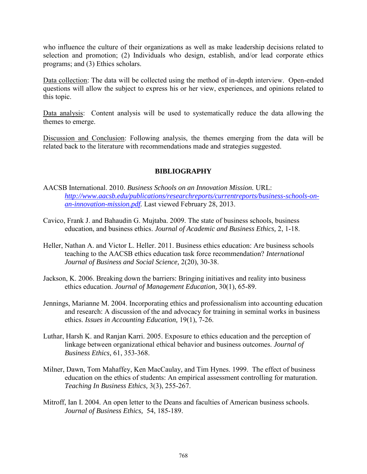who influence the culture of their organizations as well as make leadership decisions related to selection and promotion; (2) Individuals who design, establish, and/or lead corporate ethics programs; and (3) Ethics scholars.

Data collection: The data will be collected using the method of in-depth interview. Open-ended questions will allow the subject to express his or her view, experiences, and opinions related to this topic.

Data analysis: Content analysis will be used to systematically reduce the data allowing the themes to emerge.

Discussion and Conclusion: Following analysis, the themes emerging from the data will be related back to the literature with recommendations made and strategies suggested.

### **BIBLIOGRAPHY**

- AACSB International. 2010. *Business Schools on an Innovation Mission.* URL: *http://www.aacsb.edu/publications/researchreports/currentreports/business-schools-onan-innovation-mission.pdf.* Last viewed February 28, 2013.
- Cavico, Frank J. and Bahaudin G. Mujtaba. 2009. The state of business schools, business education, and business ethics. *Journal of Academic and Business Ethics,* 2, 1-18.
- Heller, Nathan A. and Victor L. Heller. 2011. Business ethics education: Are business schools teaching to the AACSB ethics education task force recommendation? *International Journal of Business and Social Science,* 2(20), 30-38.
- Jackson, K. 2006. Breaking down the barriers: Bringing initiatives and reality into business ethics education. *Journal of Management Education,* 30(1), 65-89.
- Jennings, Marianne M. 2004. Incorporating ethics and professionalism into accounting education and research: A discussion of the and advocacy for training in seminal works in business ethics. *Issues in Accounting Education,* 19(1), 7-26.
- Luthar, Harsh K. and Ranjan Karri. 2005. Exposure to ethics education and the perception of linkage between organizational ethical behavior and business outcomes. *Journal of Business Ethics,* 61, 353-368.
- Milner, Dawn, Tom Mahaffey, Ken MacCaulay, and Tim Hynes. 1999. The effect of business education on the ethics of students: An empirical assessment controlling for maturation. *Teaching In Business Ethics,* 3(3), 255-267.
- Mitroff, Ian I. 2004. An open letter to the Deans and faculties of American business schools. *Journal of Business Ethics,* 54, 185-189.